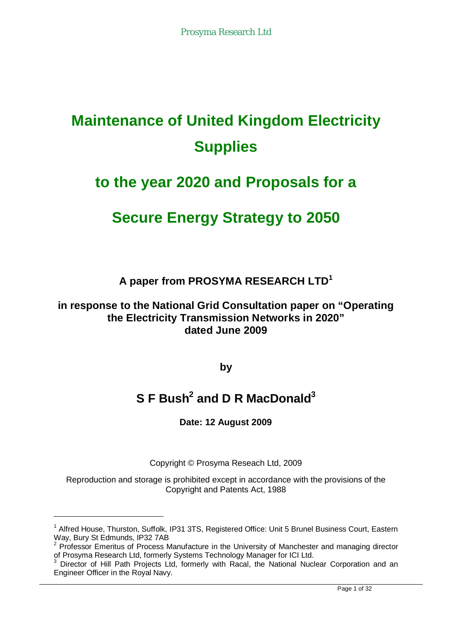# **Maintenance of United Kingdom Electricity Supplies**

# **to the year 2020 and Proposals for a**

# **Secure Energy Strategy to 2050**

**A paper from PROSYMA RESEARCH LTD<sup>1</sup>**

**in response to the National Grid Consultation paper on "Operating the Electricity Transmission Networks in 2020" dated June 2009**

**by**

# **S F Bush<sup>2</sup> and D R MacDonald<sup>3</sup>**

**Date: 12 August 2009**

Copyright © Prosyma Reseach Ltd, 2009

Reproduction and storage is prohibited except in accordance with the provisions of the Copyright and Patents Act, 1988

<sup>&</sup>lt;sup>1</sup> Alfred House, Thurston, Suffolk, IP31 3TS, Registered Office: Unit 5 Brunel Business Court, Eastern Way, Bury St Edmunds, IP32 7AB

<sup>&</sup>lt;sup>2</sup> Professor Emeritus of Process Manufacture in the University of Manchester and managing director of Prosyma Research Ltd, formerly Systems Technology Manager for ICI Ltd.<br><sup>3</sup> Director of Hill Dath Projects Ltd, formarly with Recol the National Nuc

Director of Hill Path Projects Ltd, formerly with Racal, the National Nuclear Corporation and an Engineer Officer in the Royal Navy.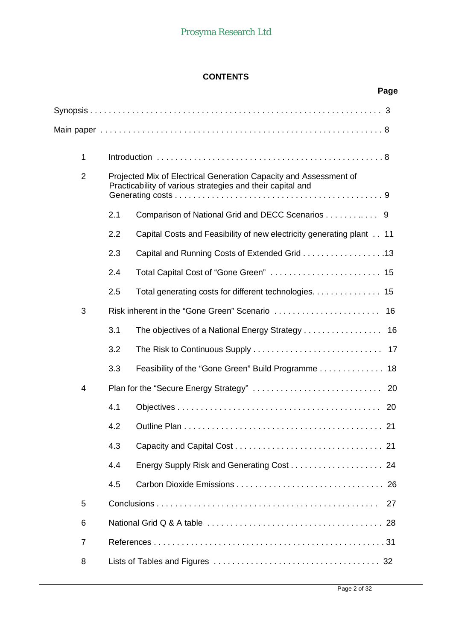# **CONTENTS**

|                |     |                                                                                                                                 | Page |
|----------------|-----|---------------------------------------------------------------------------------------------------------------------------------|------|
|                |     |                                                                                                                                 |      |
|                |     |                                                                                                                                 |      |
| $\mathbf{1}$   |     |                                                                                                                                 |      |
| $\overline{2}$ |     | Projected Mix of Electrical Generation Capacity and Assessment of<br>Practicability of various strategies and their capital and |      |
|                | 2.1 | Comparison of National Grid and DECC Scenarios 9                                                                                |      |
|                | 2.2 | Capital Costs and Feasibility of new electricity generating plant 11                                                            |      |
|                | 2.3 | Capital and Running Costs of Extended Grid 13                                                                                   |      |
|                | 2.4 | Total Capital Cost of "Gone Green"  15                                                                                          |      |
|                | 2.5 | Total generating costs for different technologies. 15                                                                           |      |
| 3              |     |                                                                                                                                 | 16   |
|                | 3.1 | The objectives of a National Energy Strategy 16                                                                                 |      |
|                | 3.2 |                                                                                                                                 |      |
|                | 3.3 |                                                                                                                                 |      |
| 4              |     |                                                                                                                                 |      |
|                | 4.1 |                                                                                                                                 | 20   |
|                | 4.2 |                                                                                                                                 | 21   |
|                | 4.3 |                                                                                                                                 |      |
|                | 4.4 |                                                                                                                                 |      |
|                | 4.5 |                                                                                                                                 |      |
| 5              |     |                                                                                                                                 | 27   |
| 6              |     |                                                                                                                                 | 28   |
| $\overline{7}$ |     |                                                                                                                                 |      |
| 8              |     |                                                                                                                                 |      |
|                |     |                                                                                                                                 |      |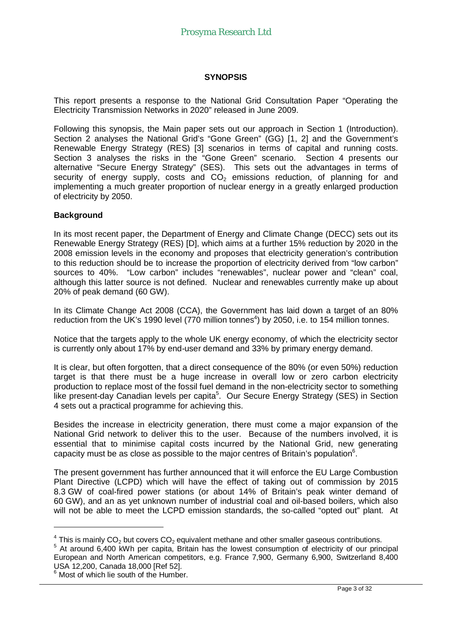#### **SYNOPSIS**

This report presents a response to the National Grid Consultation Paper "Operating the Electricity Transmission Networks in 2020" released in June 2009.

Following this synopsis, the Main paper sets out our approach in Section 1 (Introduction). Section 2 analyses the National Grid's "Gone Green" (GG) [1, 2] and the Government's Renewable Energy Strategy (RES) [3] scenarios in terms of capital and running costs. Section 3 analyses the risks in the "Gone Green" scenario. Section 4 presents our alternative "Secure Energy Strategy" (SES). This sets out the advantages in terms of security of energy supply, costs and  $CO<sub>2</sub>$  emissions reduction, of planning for and implementing a much greater proportion of nuclear energy in a greatly enlarged production of electricity by 2050.

#### **Background**

In its most recent paper, the Department of Energy and Climate Change (DECC) sets out its Renewable Energy Strategy (RES) [D], which aims at a further 15% reduction by 2020 in the 2008 emission levels in the economy and proposes that electricity generation's contribution to this reduction should be to increase the proportion of electricity derived from "low carbon" sources to 40%. "Low carbon" includes "renewables", nuclear power and "clean" coal, although this latter source is not defined. Nuclear and renewables currently make up about 20% of peak demand (60 GW).

In its Climate Change Act 2008 (CCA), the Government has laid down a target of an 80% reduction from the UK's 1990 level (770 million tonnes<sup>4</sup>) by 2050, i.e. to 154 million tonnes.

Notice that the targets apply to the whole UK energy economy, of which the electricity sector is currently only about 17% by end-user demand and 33% by primary energy demand.

It is clear, but often forgotten, that a direct consequence of the 80% (or even 50%) reduction target is that there must be a huge increase in overall low or zero carbon electricity production to replace most of the fossil fuel demand in the non-electricity sector to something .<br>like present-day Canadian levels per capita<sup>5</sup>. Our Secure Energy Strategy (SES) in Section 4 sets out a practical programme for achieving this.

Besides the increase in electricity generation, there must come a major expansion of the National Grid network to deliver this to the user. Because of the numbers involved, it is essential that to minimise capital costs incurred by the National Grid, new generating capacity must be as close as possible to the major centres of Britain's population $6$ .

The present government has further announced that it will enforce the EU Large Combustion Plant Directive (LCPD) which will have the effect of taking out of commission by 2015 8.3 GW of coal-fired power stations (or about 14% of Britain's peak winter demand of 60 GW), and an as yet unknown number of industrial coal and oil-based boilers, which also will not be able to meet the LCPD emission standards, the so-called "opted out" plant. At

 $\frac{4}{3}$  This is mainly CO<sub>2</sub> but covers CO<sub>2</sub> equivalent methane and other smaller gaseous contributions.

<sup>&</sup>lt;sup>5</sup> At around 6,400 kWh per capita, Britain has the lowest consumption of electricity of our principal European and North American competitors, e.g. France 7,900, Germany 6,900, Switzerland 8,400 USA 12,200, Canada 18,000 [Ref 52].

<sup>6</sup> Most of which lie south of the Humber.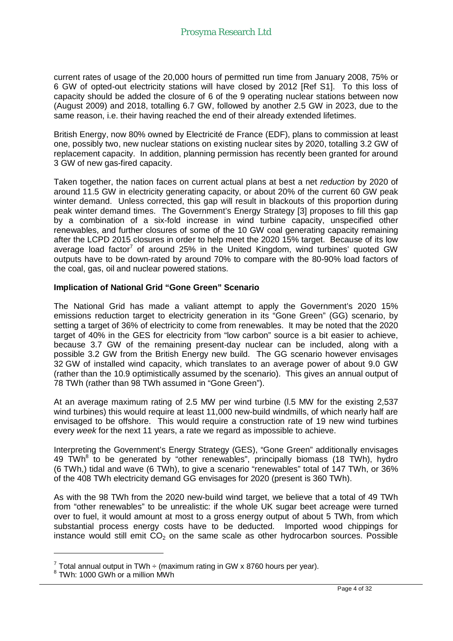current rates of usage of the 20,000 hours of permitted run time from January 2008, 75% or 6 GW of opted-out electricity stations will have closed by 2012 [Ref S1]. To this loss of capacity should be added the closure of 6 of the 9 operating nuclear stations between now (August 2009) and 2018, totalling 6.7 GW, followed by another 2.5 GW in 2023, due to the same reason, i.e. their having reached the end of their already extended lifetimes.

British Energy, now 80% owned by Electricité de France (EDF), plans to commission at least one, possibly two, new nuclear stations on existing nuclear sites by 2020, totalling 3.2 GW of replacement capacity. In addition, planning permission has recently been granted for around 3 GW of new gas-fired capacity.

Taken together, the nation faces on current actual plans at best a net *reduction* by 2020 of around 11.5 GW in electricity generating capacity, or about 20% of the current 60 GW peak winter demand. Unless corrected, this gap will result in blackouts of this proportion during peak winter demand times. The Government's Energy Strategy [3] proposes to fill this gap by a combination of a six-fold increase in wind turbine capacity, unspecified other renewables, and further closures of some of the 10 GW coal generating capacity remaining after the LCPD 2015 closures in order to help meet the 2020 15% target. Because of its low average load factor<sup>7</sup> of around 25% in the United Kingdom, wind turbines' quoted GW outputs have to be down-rated by around 70% to compare with the 80-90% load factors of the coal, gas, oil and nuclear powered stations.

#### **Implication of National Grid "Gone Green" Scenario**

The National Grid has made a valiant attempt to apply the Government's 2020 15% emissions reduction target to electricity generation in its "Gone Green" (GG) scenario, by setting a target of 36% of electricity to come from renewables. It may be noted that the 2020 target of 40% in the GES for electricity from "low carbon" source is a bit easier to achieve, because 3.7 GW of the remaining present-day nuclear can be included, along with a possible 3.2 GW from the British Energy new build. The GG scenario however envisages 32 GW of installed wind capacity, which translates to an average power of about 9.0 GW (rather than the 10.9 optimistically assumed by the scenario). This gives an annual output of 78 TWh (rather than 98 TWh assumed in "Gone Green").

At an average maximum rating of 2.5 MW per wind turbine (l.5 MW for the existing 2,537 wind turbines) this would require at least 11,000 new-build windmills, of which nearly half are envisaged to be offshore. This would require a construction rate of 19 new wind turbines every *week* for the next 11 years, a rate we regard as impossible to achieve.

Interpreting the Government's Energy Strategy (GES), "Gone Green" additionally envisages 49 TWh<sup>8</sup> to be generated by "other renewables", principally biomass (18 TWh), hydro (6 TWh,) tidal and wave (6 TWh), to give a scenario "renewables" total of 147 TWh, or 36% of the 408 TWh electricity demand GG envisages for 2020 (present is 360 TWh).

As with the 98 TWh from the 2020 new-build wind target, we believe that a total of 49 TWh from "other renewables" to be unrealistic: if the whole UK sugar beet acreage were turned over to fuel, it would amount at most to a gross energy output of about 5 TWh, from which substantial process energy costs have to be deducted. Imported wood chippings for instance would still emit  $CO<sub>2</sub>$  on the same scale as other hydrocarbon sources. Possible

 $^7$  Total annual output in TWh  $\div$  (maximum rating in GW x 8760 hours per year).

<sup>8</sup> TWh: 1000 GWh or a million MWh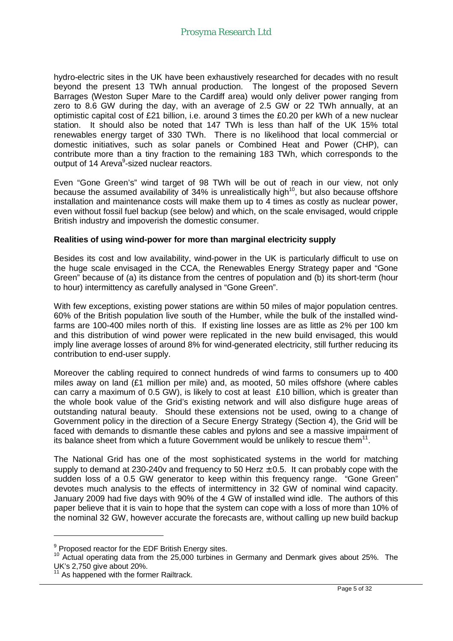hydro-electric sites in the UK have been exhaustively researched for decades with no result beyond the present 13 TWh annual production. The longest of the proposed Severn Barrages (Weston Super Mare to the Cardiff area) would only deliver power ranging from zero to 8.6 GW during the day, with an average of 2.5 GW or 22 TWh annually, at an optimistic capital cost of £21 billion, i.e. around 3 times the £0.20 per kWh of a new nuclear station. It should also be noted that 147 TWh is less than half of the UK 15% total renewables energy target of 330 TWh. There is no likelihood that local commercial or domestic initiatives, such as solar panels or Combined Heat and Power (CHP), can contribute more than a tiny fraction to the remaining 183 TWh, which corresponds to the output of 14 Areva<sup>9</sup>-sized nuclear reactors.

Even "Gone Green's" wind target of 98 TWh will be out of reach in our view, not only because the assumed availability of 34% is unrealistically high<sup>10</sup>, but also because offshore installation and maintenance costs will make them up to 4 times as costly as nuclear power, even without fossil fuel backup (see below) and which, on the scale envisaged, would cripple British industry and impoverish the domestic consumer.

#### **Realities of using wind-power for more than marginal electricity supply**

Besides its cost and low availability, wind-power in the UK is particularly difficult to use on the huge scale envisaged in the CCA, the Renewables Energy Strategy paper and "Gone Green" because of (a) its distance from the centres of population and (b) its short-term (hour to hour) intermittency as carefully analysed in "Gone Green".

With few exceptions, existing power stations are within 50 miles of major population centres. 60% of the British population live south of the Humber, while the bulk of the installed windfarms are 100-400 miles north of this. If existing line losses are as little as 2% per 100 km and this distribution of wind power were replicated in the new build envisaged, this would imply line average losses of around 8% for wind-generated electricity, still further reducing its contribution to end-user supply.

Moreover the cabling required to connect hundreds of wind farms to consumers up to 400 miles away on land (£1 million per mile) and, as mooted, 50 miles offshore (where cables can carry a maximum of 0.5 GW), is likely to cost at least £10 billion, which is greater than the whole book value of the Grid's existing network and will also disfigure huge areas of outstanding natural beauty. Should these extensions not be used, owing to a change of Government policy in the direction of a Secure Energy Strategy (Section 4), the Grid will be faced with demands to dismantle these cables and pylons and see a massive impairment of its balance sheet from which a future Government would be unlikely to rescue them<sup>11</sup>.

The National Grid has one of the most sophisticated systems in the world for matching supply to demand at 230-240v and frequency to 50 Herz  $\pm$  0.5. It can probably cope with the sudden loss of a 0.5 GW generator to keep within this frequency range. "Gone Green" devotes much analysis to the effects of intermittency in 32 GW of nominal wind capacity. January 2009 had five days with 90% of the 4 GW of installed wind idle. The authors of this paper believe that it is vain to hope that the system can cope with a loss of more than 10% of the nominal 32 GW, however accurate the forecasts are, without calling up new build backup

 $9$  Proposed reactor for the EDF British Energy sites.

<sup>&</sup>lt;sup>10</sup> Actual operating data from the 25,000 turbines in Germany and Denmark gives about 25%. The UK's 2,750 give about 20%.

As happened with the former Railtrack.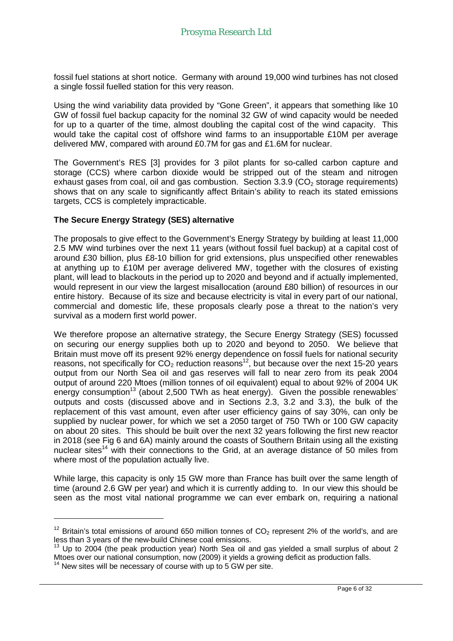fossil fuel stations at short notice. Germany with around 19,000 wind turbines has not closed a single fossil fuelled station for this very reason.

Using the wind variability data provided by "Gone Green", it appears that something like 10 GW of fossil fuel backup capacity for the nominal 32 GW of wind capacity would be needed for up to a quarter of the time, almost doubling the capital cost of the wind capacity. This would take the capital cost of offshore wind farms to an insupportable £10M per average delivered MW, compared with around £0.7M for gas and £1.6M for nuclear.

The Government's RES [3] provides for 3 pilot plants for so-called carbon capture and storage (CCS) where carbon dioxide would be stripped out of the steam and nitrogen exhaust gases from coal, oil and gas combustion. Section  $3.3.9$  (CO<sub>2</sub> storage requirements) shows that on any scale to significantly affect Britain's ability to reach its stated emissions targets, CCS is completely impracticable.

#### **The Secure Energy Strategy (SES) alternative**

The proposals to give effect to the Government's Energy Strategy by building at least 11,000 2.5 MW wind turbines over the next 11 years (without fossil fuel backup) at a capital cost of around £30 billion, plus £8-10 billion for grid extensions, plus unspecified other renewables at anything up to £10M per average delivered MW, together with the closures of existing plant, will lead to blackouts in the period up to 2020 and beyond and if actually implemented, would represent in our view the largest misallocation (around £80 billion) of resources in our entire history. Because of its size and because electricity is vital in every part of our national, commercial and domestic life, these proposals clearly pose a threat to the nation's very survival as a modern first world power.

We therefore propose an alternative strategy, the Secure Energy Strategy (SES) focussed on securing our energy supplies both up to 2020 and beyond to 2050. We believe that Britain must move off its present 92% energy dependence on fossil fuels for national security reasons, not specifically for  $CO<sub>2</sub>$  reduction reasons<sup>12</sup>, but because over the next 15-20 years output from our North Sea oil and gas reserves will fall to near zero from its peak 2004 output of around 220 Mtoes (million tonnes of oil equivalent) equal to about 92% of 2004 UK energy consumption<sup>13</sup> (about 2,500 TWh as heat energy). Given the possible renewables' outputs and costs (discussed above and in Sections 2.3, 3.2 and 3.3), the bulk of the replacement of this vast amount, even after user efficiency gains of say 30%, can only be supplied by nuclear power, for which we set a 2050 target of 750 TWh or 100 GW capacity on about 20 sites. This should be built over the next 32 years following the first new reactor in 2018 (see Fig 6 and 6A) mainly around the coasts of Southern Britain using all the existing nuclear sites<sup>14</sup> with their connections to the Grid, at an average distance of 50 miles from where most of the population actually live.

While large, this capacity is only 15 GW more than France has built over the same length of time (around 2.6 GW per year) and which it is currently adding to. In our view this should be seen as the most vital national programme we can ever embark on, requiring a national

 $12$  Britain's total emissions of around 650 million tonnes of CO<sub>2</sub> represent 2% of the world's, and are less than 3 years of the new-build Chinese coal emissions.

 $13$  Up to 2004 (the peak production year) North Sea oil and gas yielded a small surplus of about 2 Mtoes over our national consumption, now (2009) it yields a growing deficit as production falls.

 $14$  New sites will be necessary of course with up to 5 GW per site.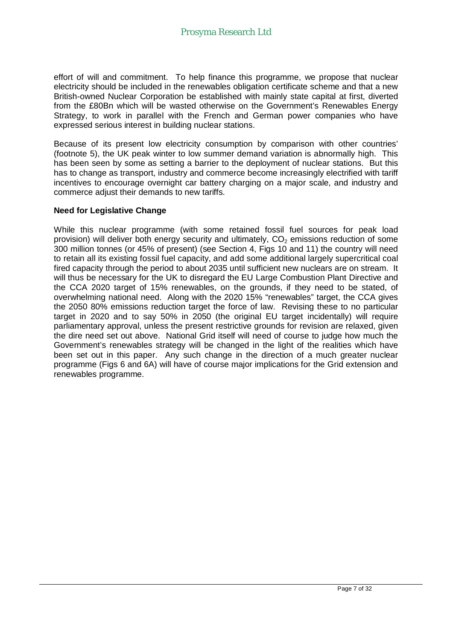effort of will and commitment. To help finance this programme, we propose that nuclear electricity should be included in the renewables obligation certificate scheme and that a new British-owned Nuclear Corporation be established with mainly state capital at first, diverted from the £80Bn which will be wasted otherwise on the Government's Renewables Energy Strategy, to work in parallel with the French and German power companies who have expressed serious interest in building nuclear stations.

Because of its present low electricity consumption by comparison with other countries' (footnote 5), the UK peak winter to low summer demand variation is abnormally high. This has been seen by some as setting a barrier to the deployment of nuclear stations. But this has to change as transport, industry and commerce become increasingly electrified with tariff incentives to encourage overnight car battery charging on a major scale, and industry and commerce adjust their demands to new tariffs.

#### **Need for Legislative Change**

While this nuclear programme (with some retained fossil fuel sources for peak load provision) will deliver both energy security and ultimately,  $CO<sub>2</sub>$  emissions reduction of some 300 million tonnes (or 45% of present) (see Section 4, Figs 10 and 11) the country will need to retain all its existing fossil fuel capacity, and add some additional largely supercritical coal fired capacity through the period to about 2035 until sufficient new nuclears are on stream. It will thus be necessary for the UK to disregard the EU Large Combustion Plant Directive and the CCA 2020 target of 15% renewables, on the grounds, if they need to be stated, of overwhelming national need. Along with the 2020 15% "renewables" target, the CCA gives the 2050 80% emissions reduction target the force of law. Revising these to no particular target in 2020 and to say 50% in 2050 (the original EU target incidentally) will require parliamentary approval, unless the present restrictive grounds for revision are relaxed, given the dire need set out above. National Grid itself will need of course to judge how much the Government's renewables strategy will be changed in the light of the realities which have been set out in this paper. Any such change in the direction of a much greater nuclear programme (Figs 6 and 6A) will have of course major implications for the Grid extension and renewables programme.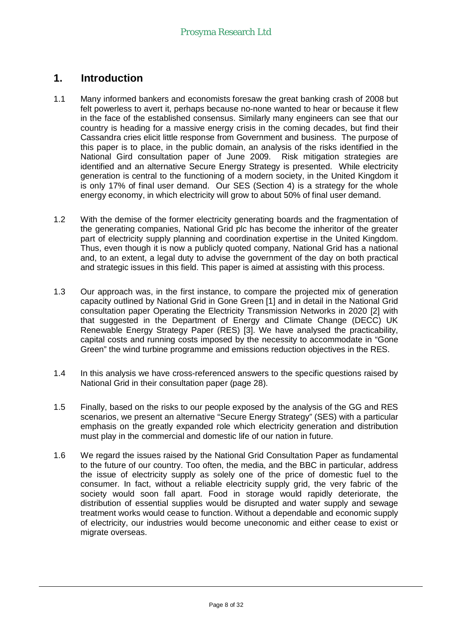# **1. Introduction**

- 1.1 Many informed bankers and economists foresaw the great banking crash of 2008 but felt powerless to avert it, perhaps because no-none wanted to hear or because it flew in the face of the established consensus. Similarly many engineers can see that our country is heading for a massive energy crisis in the coming decades, but find their Cassandra cries elicit little response from Government and business. The purpose of this paper is to place, in the public domain, an analysis of the risks identified in the National Gird consultation paper of June 2009. Risk mitigation strategies are identified and an alternative Secure Energy Strategy is presented. While electricity generation is central to the functioning of a modern society, in the United Kingdom it is only 17% of final user demand. Our SES (Section 4) is a strategy for the whole energy economy, in which electricity will grow to about 50% of final user demand.
- 1.2 With the demise of the former electricity generating boards and the fragmentation of the generating companies, National Grid plc has become the inheritor of the greater part of electricity supply planning and coordination expertise in the United Kingdom. Thus, even though it is now a publicly quoted company, National Grid has a national and, to an extent, a legal duty to advise the government of the day on both practical and strategic issues in this field. This paper is aimed at assisting with this process.
- 1.3 Our approach was, in the first instance, to compare the projected mix of generation capacity outlined by National Grid in Gone Green [1] and in detail in the National Grid consultation paper Operating the Electricity Transmission Networks in 2020 [2] with that suggested in the Department of Energy and Climate Change (DECC) UK Renewable Energy Strategy Paper (RES) [3]. We have analysed the practicability, capital costs and running costs imposed by the necessity to accommodate in "Gone Green" the wind turbine programme and emissions reduction objectives in the RES.
- 1.4 In this analysis we have cross-referenced answers to the specific questions raised by National Grid in their consultation paper (page 28).
- 1.5 Finally, based on the risks to our people exposed by the analysis of the GG and RES scenarios, we present an alternative "Secure Energy Strategy" (SES) with a particular emphasis on the greatly expanded role which electricity generation and distribution must play in the commercial and domestic life of our nation in future.
- 1.6 We regard the issues raised by the National Grid Consultation Paper as fundamental to the future of our country. Too often, the media, and the BBC in particular, address the issue of electricity supply as solely one of the price of domestic fuel to the consumer. In fact, without a reliable electricity supply grid, the very fabric of the society would soon fall apart. Food in storage would rapidly deteriorate, the distribution of essential supplies would be disrupted and water supply and sewage treatment works would cease to function. Without a dependable and economic supply of electricity, our industries would become uneconomic and either cease to exist or migrate overseas.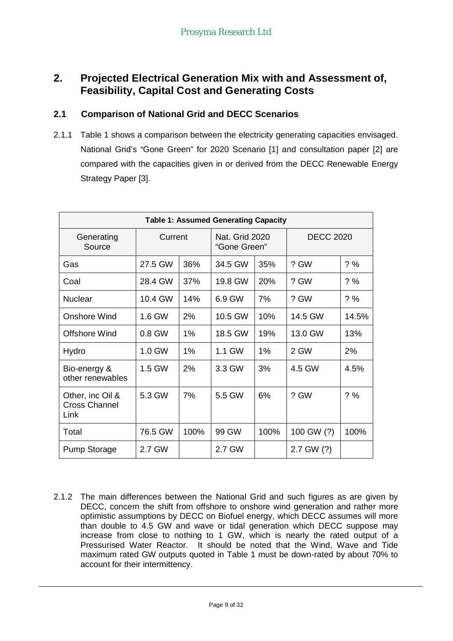# **2. Projected Electrical Generation Mix with and Assessment of, Feasibility, Capital Cost and Generating Costs**

#### **2.1 Comparison of National Grid and DECC Scenarios**

2.1.1 Table 1 shows a comparison between the electricity generating capacities envisaged. National Grid's "Gone Green" for 2020 Scenario [1] and consultation paper [2] are compared with the capacities given in or derived from the DECC Renewable Energy Strategy Paper [3].

| <b>Table 1: Assumed Generating Capacity</b>      |         |      |                                |      |                  |        |  |
|--------------------------------------------------|---------|------|--------------------------------|------|------------------|--------|--|
| Generating<br>Source                             | Current |      | Nat. Grid 2020<br>"Gone Green" |      | <b>DECC 2020</b> |        |  |
| Gas                                              | 27.5 GW | 36%  | 34.5 GW                        | 35%  | ? GW             | ? %    |  |
| Coal                                             | 28.4 GW | 37%  | 19.8 GW                        | 20%  | ? GW             | ? %    |  |
| <b>Nuclear</b>                                   | 10.4 GW | 14%  | 6.9 GW                         | 7%   | ? GW             | $? \%$ |  |
| <b>Onshore Wind</b>                              | 1.6 GW  | 2%   | 10.5 GW                        | 10%  | 14.5 GW          | 14.5%  |  |
| <b>Offshore Wind</b>                             | 0.8 GW  | 1%   | 18.5 GW                        | 19%  | 13.0 GW          | 13%    |  |
| Hydro                                            | 1.0 GW  | 1%   | 1.1 GW                         | 1%   | 2 GW             | 2%     |  |
| Bio-energy &<br>other renewables                 | 1.5 GW  | 2%   | 3.3 GW                         | 3%   | 4.5 GW           | 4.5%   |  |
| Other, inc Oil &<br><b>Cross Channel</b><br>Link | 5.3 GW  | 7%   | 5.5 GW                         | 6%   | ? GW             | ? %    |  |
| Total                                            | 76.5 GW | 100% | 99 GW                          | 100% | 100 GW (?)       | 100%   |  |
| <b>Pump Storage</b>                              | 2.7 GW  |      | 2.7 GW                         |      | 2.7 GW (?)       |        |  |

2.1.2 The main differences between the National Grid and such figures as are given by DECC, concern the shift from offshore to onshore wind generation and rather more optimistic assumptions by DECC on Biofuel energy, which DECC assumes will more than double to 4.5 GW and wave or tidal generation which DECC suppose may increase from close to nothing to 1 GW, which is nearly the rated output of a Pressurised Water Reactor. It should be noted that the Wind, Wave and Tide maximum rated GW outputs quoted in Table 1 must be down-rated by about 70% to account for their intermittency.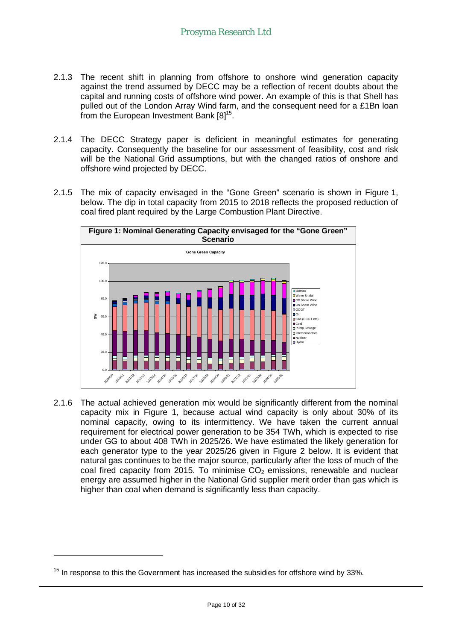- 2.1.3 The recent shift in planning from offshore to onshore wind generation capacity against the trend assumed by DECC may be a reflection of recent doubts about the capital and running costs of offshore wind power. An example of this is that Shell has pulled out of the London Array Wind farm, and the consequent need for a £1Bn loan from the European Investment Bank  $[8]^{15}$ .
- 2.1.4 The DECC Strategy paper is deficient in meaningful estimates for generating capacity. Consequently the baseline for our assessment of feasibility, cost and risk will be the National Grid assumptions, but with the changed ratios of onshore and offshore wind projected by DECC.
- 2.1.5 The mix of capacity envisaged in the "Gone Green" scenario is shown in Figure 1, below. The dip in total capacity from 2015 to 2018 reflects the proposed reduction of coal fired plant required by the Large Combustion Plant Directive.



2.1.6 The actual achieved generation mix would be significantly different from the nominal capacity mix in Figure 1, because actual wind capacity is only about 30% of its nominal capacity, owing to its intermittency. We have taken the current annual requirement for electrical power generation to be 354 TWh, which is expected to rise under GG to about 408 TWh in 2025/26. We have estimated the likely generation for each generator type to the year 2025/26 given in Figure 2 below. It is evident that natural gas continues to be the major source, particularly after the loss of much of the coal fired capacity from 2015. To minimise  $CO<sub>2</sub>$  emissions, renewable and nuclear energy are assumed higher in the National Grid supplier merit order than gas which is higher than coal when demand is significantly less than capacity.

 $15$  In response to this the Government has increased the subsidies for offshore wind by 33%.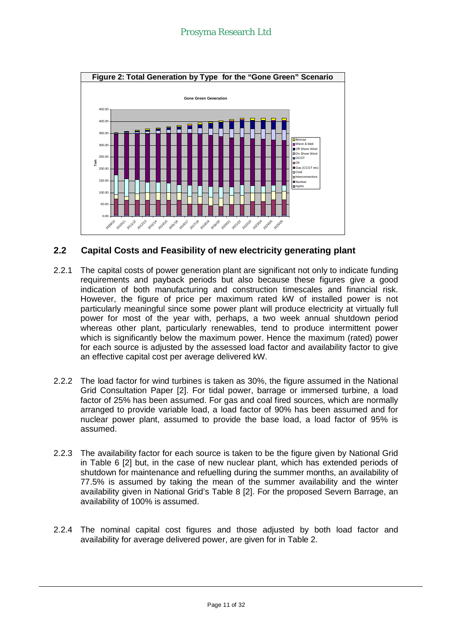

#### **2.2 Capital Costs and Feasibility of new electricity generating plant**

- 2.2.1 The capital costs of power generation plant are significant not only to indicate funding requirements and payback periods but also because these figures give a good indication of both manufacturing and construction timescales and financial risk. However, the figure of price per maximum rated kW of installed power is not particularly meaningful since some power plant will produce electricity at virtually full power for most of the year with, perhaps, a two week annual shutdown period whereas other plant, particularly renewables, tend to produce intermittent power which is significantly below the maximum power. Hence the maximum (rated) power for each source is adjusted by the assessed load factor and availability factor to give an effective capital cost per average delivered kW.
- 2.2.2 The load factor for wind turbines is taken as 30%, the figure assumed in the National Grid Consultation Paper [2]. For tidal power, barrage or immersed turbine, a load factor of 25% has been assumed. For gas and coal fired sources, which are normally arranged to provide variable load, a load factor of 90% has been assumed and for nuclear power plant, assumed to provide the base load, a load factor of 95% is assumed.
- 2.2.3 The availability factor for each source is taken to be the figure given by National Grid in Table 6 [2] but, in the case of new nuclear plant, which has extended periods of shutdown for maintenance and refuelling during the summer months, an availability of 77.5% is assumed by taking the mean of the summer availability and the winter availability given in National Grid's Table 8 [2]. For the proposed Severn Barrage, an availability of 100% is assumed.
- 2.2.4 The nominal capital cost figures and those adjusted by both load factor and availability for average delivered power, are given for in Table 2.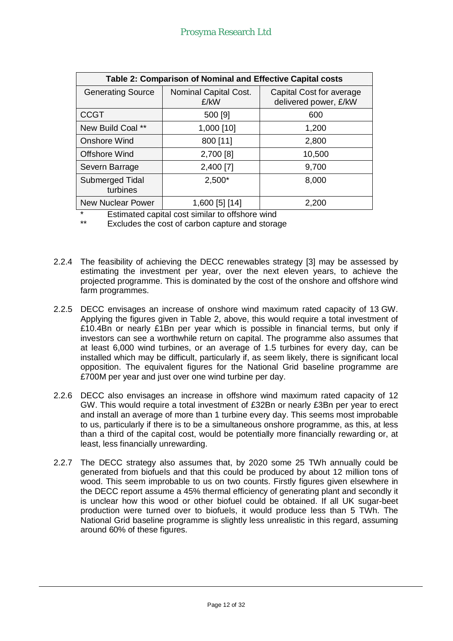| Table 2: Comparison of Nominal and Effective Capital costs |                               |                                                   |  |  |  |  |
|------------------------------------------------------------|-------------------------------|---------------------------------------------------|--|--|--|--|
| <b>Generating Source</b>                                   | Nominal Capital Cost.<br>£/kW | Capital Cost for average<br>delivered power, £/kW |  |  |  |  |
| <b>CCGT</b>                                                | 500 [9]                       | 600                                               |  |  |  |  |
| New Build Coal **                                          | 1,000 [10]                    | 1,200                                             |  |  |  |  |
| <b>Onshore Wind</b>                                        | 800 [11]                      | 2,800                                             |  |  |  |  |
| <b>Offshore Wind</b>                                       | 2,700 [8]                     | 10,500                                            |  |  |  |  |
| Severn Barrage                                             | 2,400 [7]                     | 9,700                                             |  |  |  |  |
| Submerged Tidal<br>turbines                                | $2,500*$                      | 8,000                                             |  |  |  |  |
| <b>New Nuclear Power</b>                                   | 1,600 [5] [14]                | 2,200                                             |  |  |  |  |

\* Estimated capital cost similar to offshore wind

Excludes the cost of carbon capture and storage

- 2.2.4 The feasibility of achieving the DECC renewables strategy [3] may be assessed by estimating the investment per year, over the next eleven years, to achieve the projected programme. This is dominated by the cost of the onshore and offshore wind farm programmes.
- 2.2.5 DECC envisages an increase of onshore wind maximum rated capacity of 13 GW. Applying the figures given in Table 2, above, this would require a total investment of £10.4Bn or nearly £1Bn per year which is possible in financial terms, but only if investors can see a worthwhile return on capital. The programme also assumes that at least 6,000 wind turbines, or an average of 1.5 turbines for every day, can be installed which may be difficult, particularly if, as seem likely, there is significant local opposition. The equivalent figures for the National Grid baseline programme are £700M per year and just over one wind turbine per day.
- 2.2.6 DECC also envisages an increase in offshore wind maximum rated capacity of 12 GW. This would require a total investment of £32Bn or nearly £3Bn per year to erect and install an average of more than 1 turbine every day. This seems most improbable to us, particularly if there is to be a simultaneous onshore programme, as this, at less than a third of the capital cost, would be potentially more financially rewarding or, at least, less financially unrewarding.
- 2.2.7 The DECC strategy also assumes that, by 2020 some 25 TWh annually could be generated from biofuels and that this could be produced by about 12 million tons of wood. This seem improbable to us on two counts. Firstly figures given elsewhere in the DECC report assume a 45% thermal efficiency of generating plant and secondly it is unclear how this wood or other biofuel could be obtained. If all UK sugar-beet production were turned over to biofuels, it would produce less than 5 TWh. The National Grid baseline programme is slightly less unrealistic in this regard, assuming around 60% of these figures.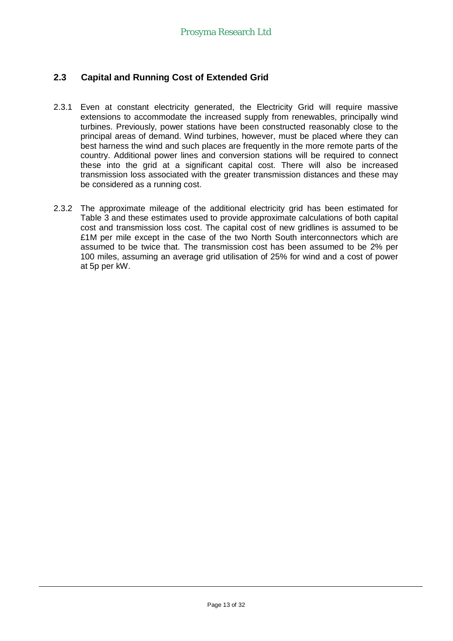#### **2.3 Capital and Running Cost of Extended Grid**

- 2.3.1 Even at constant electricity generated, the Electricity Grid will require massive extensions to accommodate the increased supply from renewables, principally wind turbines. Previously, power stations have been constructed reasonably close to the principal areas of demand. Wind turbines, however, must be placed where they can best harness the wind and such places are frequently in the more remote parts of the country. Additional power lines and conversion stations will be required to connect these into the grid at a significant capital cost. There will also be increased transmission loss associated with the greater transmission distances and these may be considered as a running cost.
- 2.3.2 The approximate mileage of the additional electricity grid has been estimated for Table 3 and these estimates used to provide approximate calculations of both capital cost and transmission loss cost. The capital cost of new gridlines is assumed to be £1M per mile except in the case of the two North South interconnectors which are assumed to be twice that. The transmission cost has been assumed to be 2% per 100 miles, assuming an average grid utilisation of 25% for wind and a cost of power at 5p per kW.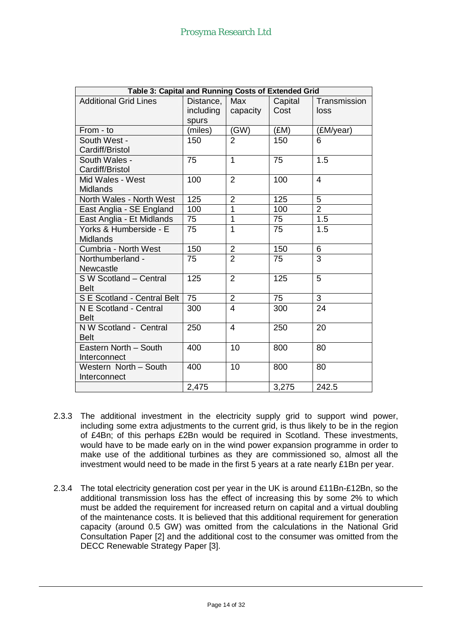| Table 3: Capital and Running Costs of Extended Grid |           |                |         |                  |  |
|-----------------------------------------------------|-----------|----------------|---------|------------------|--|
| <b>Additional Grid Lines</b>                        | Distance, | Max            | Capital | Transmission     |  |
|                                                     | including | capacity       | Cost    | loss             |  |
|                                                     | spurs     |                |         |                  |  |
| From - to                                           | (miles)   | (GW)           | (EM)    | (£M/year)        |  |
| South West -                                        | 150       | $\overline{2}$ | 150     | 6                |  |
| Cardiff/Bristol                                     |           |                |         |                  |  |
| South Wales -                                       | 75        | $\overline{1}$ | 75      | $\overline{1.5}$ |  |
| Cardiff/Bristol                                     |           |                |         |                  |  |
| Mid Wales - West                                    | 100       | $\overline{2}$ | 100     | $\overline{4}$   |  |
| <b>Midlands</b>                                     |           |                |         |                  |  |
| North Wales - North West                            | 125       | $\overline{2}$ | 125     | 5                |  |
| East Anglia - SE England                            | 100       | $\overline{1}$ | 100     | $\overline{2}$   |  |
| East Anglia - Et Midlands                           | 75        | 1              | 75      | 1.5              |  |
| Yorks & Humberside - E                              | 75        | 1              | 75      | 1.5              |  |
| <b>Midlands</b>                                     |           |                |         |                  |  |
| Cumbria - North West                                | 150       | $\overline{2}$ | 150     | 6                |  |
| Northumberland -                                    | 75        | $\overline{2}$ | 75      | $\overline{3}$   |  |
| <b>Newcastle</b>                                    |           |                |         |                  |  |
| S W Scotland - Central                              | 125       | $\overline{2}$ | 125     | 5                |  |
| <b>Belt</b>                                         |           |                |         |                  |  |
| S E Scotland - Central Belt                         | 75        | $\overline{2}$ | 75      | $\overline{3}$   |  |
| N E Scotland - Central                              | 300       | 4              | 300     | 24               |  |
| <b>Belt</b>                                         |           |                |         |                  |  |
| N W Scotland - Central                              | 250       | $\overline{4}$ | 250     | 20               |  |
| <b>Belt</b>                                         |           |                |         |                  |  |
| Eastern North - South                               | 400       | 10             | 800     | 80               |  |
| Interconnect                                        |           |                |         |                  |  |
| Western North - South                               | 400       | 10             | 800     | 80               |  |
| Interconnect                                        |           |                |         |                  |  |
|                                                     | 2,475     |                | 3,275   | 242.5            |  |

- 2.3.3 The additional investment in the electricity supply grid to support wind power, including some extra adjustments to the current grid, is thus likely to be in the region of £4Bn; of this perhaps £2Bn would be required in Scotland. These investments, would have to be made early on in the wind power expansion programme in order to make use of the additional turbines as they are commissioned so, almost all the investment would need to be made in the first 5 years at a rate nearly £1Bn per year.
- 2.3.4 The total electricity generation cost per year in the UK is around £11Bn-£12Bn, so the additional transmission loss has the effect of increasing this by some 2% to which must be added the requirement for increased return on capital and a virtual doubling of the maintenance costs. It is believed that this additional requirement for generation capacity (around 0.5 GW) was omitted from the calculations in the National Grid Consultation Paper [2] and the additional cost to the consumer was omitted from the DECC Renewable Strategy Paper [3].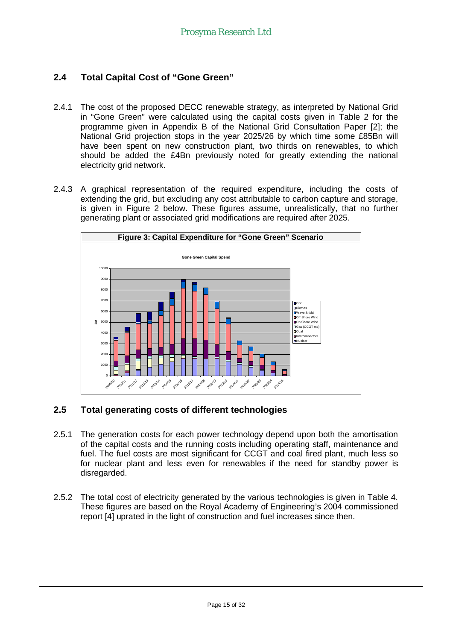#### **2.4 Total Capital Cost of "Gone Green"**

- 2.4.1 The cost of the proposed DECC renewable strategy, as interpreted by National Grid in "Gone Green" were calculated using the capital costs given in Table 2 for the programme given in Appendix B of the National Grid Consultation Paper [2]; the National Grid projection stops in the year 2025/26 by which time some £85Bn will have been spent on new construction plant, two thirds on renewables, to which should be added the £4Bn previously noted for greatly extending the national electricity grid network.
- 2.4.3 A graphical representation of the required expenditure, including the costs of extending the grid, but excluding any cost attributable to carbon capture and storage, is given in Figure 2 below. These figures assume, unrealistically, that no further generating plant or associated grid modifications are required after 2025.



#### **2.5 Total generating costs of different technologies**

- 2.5.1 The generation costs for each power technology depend upon both the amortisation of the capital costs and the running costs including operating staff, maintenance and fuel. The fuel costs are most significant for CCGT and coal fired plant, much less so for nuclear plant and less even for renewables if the need for standby power is disregarded.
- 2.5.2 The total cost of electricity generated by the various technologies is given in Table 4. These figures are based on the Royal Academy of Engineering's 2004 commissioned report [4] uprated in the light of construction and fuel increases since then.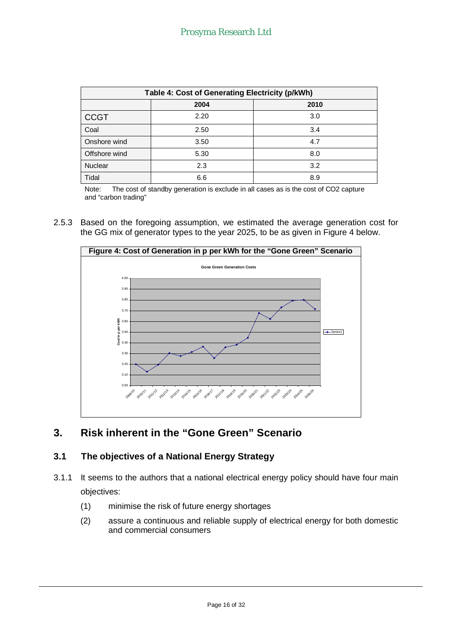| Table 4: Cost of Generating Electricity (p/kWh) |      |      |  |
|-------------------------------------------------|------|------|--|
|                                                 | 2004 | 2010 |  |
| <b>CCGT</b>                                     | 2.20 | 3.0  |  |
| Coal                                            | 2.50 | 3.4  |  |
| Onshore wind                                    | 3.50 | 4.7  |  |
| Offshore wind                                   | 5.30 | 8.0  |  |
| <b>Nuclear</b>                                  | 2.3  | 3.2  |  |
| Tidal                                           | 6.6  | 8.9  |  |

Note: The cost of standby generation is exclude in all cases as is the cost of CO2 capture and "carbon trading"

2.5.3 Based on the foregoing assumption, we estimated the average generation cost for the GG mix of generator types to the year 2025, to be as given in Figure 4 below.



# **3. Risk inherent in the "Gone Green" Scenario**

### **3.1 The objectives of a National Energy Strategy**

- 3.1.1 It seems to the authors that a national electrical energy policy should have four main objectives:
	- (1) minimise the risk of future energy shortages
	- (2) assure a continuous and reliable supply of electrical energy for both domestic and commercial consumers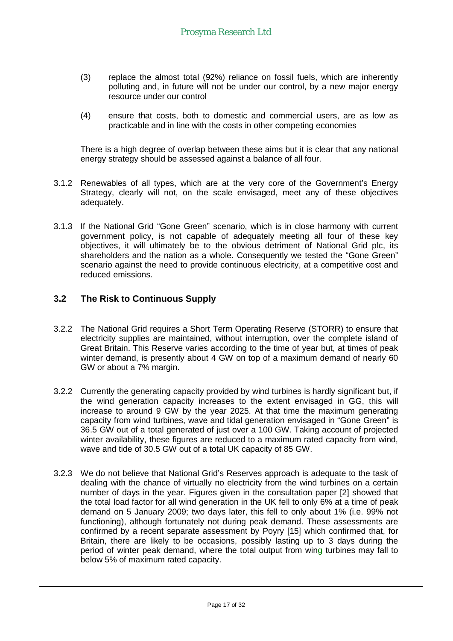- (3) replace the almost total (92%) reliance on fossil fuels, which are inherently polluting and, in future will not be under our control, by a new major energy resource under our control
- (4) ensure that costs, both to domestic and commercial users, are as low as practicable and in line with the costs in other competing economies

There is a high degree of overlap between these aims but it is clear that any national energy strategy should be assessed against a balance of all four.

- 3.1.2 Renewables of all types, which are at the very core of the Government's Energy Strategy, clearly will not, on the scale envisaged, meet any of these objectives adequately.
- 3.1.3 If the National Grid "Gone Green" scenario, which is in close harmony with current government policy, is not capable of adequately meeting all four of these key objectives, it will ultimately be to the obvious detriment of National Grid plc, its shareholders and the nation as a whole. Consequently we tested the "Gone Green" scenario against the need to provide continuous electricity, at a competitive cost and reduced emissions.

#### **3.2 The Risk to Continuous Supply**

- 3.2.2 The National Grid requires a Short Term Operating Reserve (STORR) to ensure that electricity supplies are maintained, without interruption, over the complete island of Great Britain. This Reserve varies according to the time of year but, at times of peak winter demand, is presently about 4 GW on top of a maximum demand of nearly 60 GW or about a 7% margin.
- 3.2.2 Currently the generating capacity provided by wind turbines is hardly significant but, if the wind generation capacity increases to the extent envisaged in GG, this will increase to around 9 GW by the year 2025. At that time the maximum generating capacity from wind turbines, wave and tidal generation envisaged in "Gone Green" is 36.5 GW out of a total generated of just over a 100 GW. Taking account of projected winter availability, these figures are reduced to a maximum rated capacity from wind, wave and tide of 30.5 GW out of a total UK capacity of 85 GW.
- 3.2.3 We do not believe that National Grid's Reserves approach is adequate to the task of dealing with the chance of virtually no electricity from the wind turbines on a certain number of days in the year. Figures given in the consultation paper [2] showed that the total load factor for all wind generation in the UK fell to only 6% at a time of peak demand on 5 January 2009; two days later, this fell to only about 1% (i.e. 99% not functioning), although fortunately not during peak demand. These assessments are confirmed by a recent separate assessment by Poyry [15] which confirmed that, for Britain, there are likely to be occasions, possibly lasting up to 3 days during the period of winter peak demand, where the total output from wing turbines may fall to below 5% of maximum rated capacity.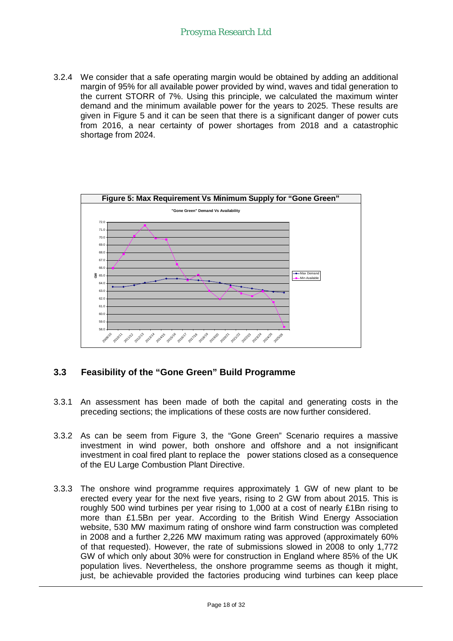3.2.4 We consider that a safe operating margin would be obtained by adding an additional margin of 95% for all available power provided by wind, waves and tidal generation to the current STORR of 7%. Using this principle, we calculated the maximum winter demand and the minimum available power for the years to 2025. These results are given in Figure 5 and it can be seen that there is a significant danger of power cuts from 2016, a near certainty of power shortages from 2018 and a catastrophic shortage from 2024.



#### **3.3 Feasibility of the "Gone Green" Build Programme**

- 3.3.1 An assessment has been made of both the capital and generating costs in the preceding sections; the implications of these costs are now further considered.
- 3.3.2 As can be seem from Figure 3, the "Gone Green" Scenario requires a massive investment in wind power, both onshore and offshore and a not insignificant investment in coal fired plant to replace the power stations closed as a consequence of the EU Large Combustion Plant Directive.
- 3.3.3 The onshore wind programme requires approximately 1 GW of new plant to be erected every year for the next five years, rising to 2 GW from about 2015. This is roughly 500 wind turbines per year rising to 1,000 at a cost of nearly £1Bn rising to more than £1.5Bn per year. According to the British Wind Energy Association website, 530 MW maximum rating of onshore wind farm construction was completed in 2008 and a further 2,226 MW maximum rating was approved (approximately 60% of that requested). However, the rate of submissions slowed in 2008 to only 1,772 GW of which only about 30% were for construction in England where 85% of the UK population lives. Nevertheless, the onshore programme seems as though it might, just, be achievable provided the factories producing wind turbines can keep place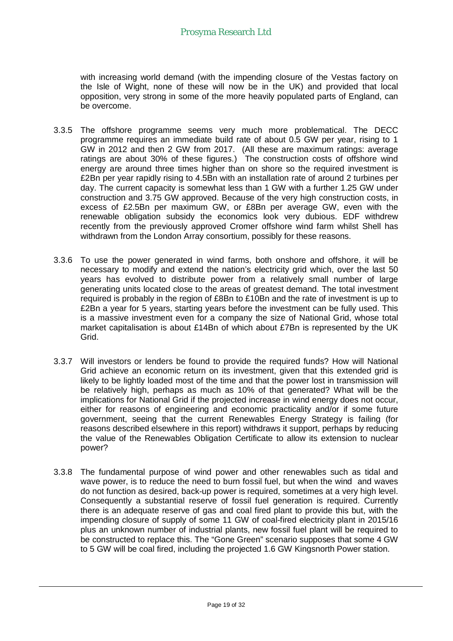with increasing world demand (with the impending closure of the Vestas factory on the Isle of Wight, none of these will now be in the UK) and provided that local opposition, very strong in some of the more heavily populated parts of England, can be overcome.

- 3.3.5 The offshore programme seems very much more problematical. The DECC programme requires an immediate build rate of about 0.5 GW per year, rising to 1 GW in 2012 and then 2 GW from 2017. (All these are maximum ratings: average ratings are about 30% of these figures.) The construction costs of offshore wind energy are around three times higher than on shore so the required investment is £2Bn per year rapidly rising to 4.5Bn with an installation rate of around 2 turbines per day. The current capacity is somewhat less than 1 GW with a further 1.25 GW under construction and 3.75 GW approved. Because of the very high construction costs, in excess of £2.5Bn per maximum GW, or £8Bn per average GW, even with the renewable obligation subsidy the economics look very dubious. EDF withdrew recently from the previously approved Cromer offshore wind farm whilst Shell has withdrawn from the London Array consortium, possibly for these reasons.
- 3.3.6 To use the power generated in wind farms, both onshore and offshore, it will be necessary to modify and extend the nation's electricity grid which, over the last 50 years has evolved to distribute power from a relatively small number of large generating units located close to the areas of greatest demand. The total investment required is probably in the region of £8Bn to £10Bn and the rate of investment is up to £2Bn a year for 5 years, starting years before the investment can be fully used. This is a massive investment even for a company the size of National Grid, whose total market capitalisation is about £14Bn of which about £7Bn is represented by the UK Grid.
- 3.3.7 Will investors or lenders be found to provide the required funds? How will National Grid achieve an economic return on its investment, given that this extended grid is likely to be lightly loaded most of the time and that the power lost in transmission will be relatively high, perhaps as much as 10% of that generated? What will be the implications for National Grid if the projected increase in wind energy does not occur, either for reasons of engineering and economic practicality and/or if some future government, seeing that the current Renewables Energy Strategy is failing (for reasons described elsewhere in this report) withdraws it support, perhaps by reducing the value of the Renewables Obligation Certificate to allow its extension to nuclear power?
- 3.3.8 The fundamental purpose of wind power and other renewables such as tidal and wave power, is to reduce the need to burn fossil fuel, but when the wind and waves do not function as desired, back-up power is required, sometimes at a very high level. Consequently a substantial reserve of fossil fuel generation is required. Currently there is an adequate reserve of gas and coal fired plant to provide this but, with the impending closure of supply of some 11 GW of coal-fired electricity plant in 2015/16 plus an unknown number of industrial plants, new fossil fuel plant will be required to be constructed to replace this. The "Gone Green" scenario supposes that some 4 GW to 5 GW will be coal fired, including the projected 1.6 GW Kingsnorth Power station.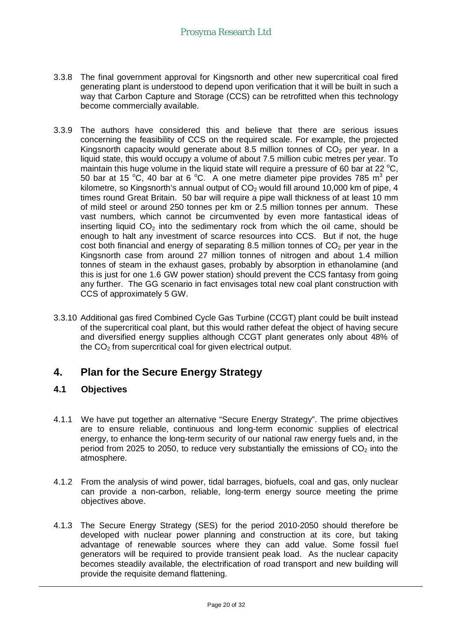- 3.3.8 The final government approval for Kingsnorth and other new supercritical coal fired generating plant is understood to depend upon verification that it will be built in such a way that Carbon Capture and Storage (CCS) can be retrofitted when this technology become commercially available.
- 3.3.9 The authors have considered this and believe that there are serious issues concerning the feasibility of CCS on the required scale. For example, the projected Kingsnorth capacity would generate about 8.5 million tonnes of  $CO<sub>2</sub>$  per year. In a liquid state, this would occupy a volume of about 7.5 million cubic metres per year. To maintain this huge volume in the liquid state will require a pressure of 60 bar at 22  $^{\circ}$ C, 50 bar at 15 °C, 40 bar at 6 °C. A one metre diameter pipe provides 785 m<sup>3</sup> per kilometre, so Kingsnorth's annual output of  $CO<sub>2</sub>$  would fill around 10,000 km of pipe, 4 times round Great Britain. 50 bar will require a pipe wall thickness of at least 10 mm of mild steel or around 250 tonnes per km or 2.5 million tonnes per annum. These vast numbers, which cannot be circumvented by even more fantastical ideas of inserting liquid  $CO<sub>2</sub>$  into the sedimentary rock from which the oil came, should be enough to halt any investment of scarce resources into CCS. But if not, the huge cost both financial and energy of separating 8.5 million tonnes of  $CO<sub>2</sub>$  per year in the Kingsnorth case from around 27 million tonnes of nitrogen and about 1.4 million tonnes of steam in the exhaust gases, probably by absorption in ethanolamine (and this is just for one 1.6 GW power station) should prevent the CCS fantasy from going any further. The GG scenario in fact envisages total new coal plant construction with CCS of approximately 5 GW.
- 3.3.10 Additional gas fired Combined Cycle Gas Turbine (CCGT) plant could be built instead of the supercritical coal plant, but this would rather defeat the object of having secure and diversified energy supplies although CCGT plant generates only about 48% of the  $CO<sub>2</sub>$  from supercritical coal for given electrical output.

# **4. Plan for the Secure Energy Strategy**

#### **4.1 Objectives**

- 4.1.1 We have put together an alternative "Secure Energy Strategy". The prime objectives are to ensure reliable, continuous and long-term economic supplies of electrical energy, to enhance the long-term security of our national raw energy fuels and, in the period from 2025 to 2050, to reduce very substantially the emissions of  $CO<sub>2</sub>$  into the atmosphere.
- 4.1.2 From the analysis of wind power, tidal barrages, biofuels, coal and gas, only nuclear can provide a non-carbon, reliable, long-term energy source meeting the prime objectives above.
- 4.1.3 The Secure Energy Strategy (SES) for the period 2010-2050 should therefore be developed with nuclear power planning and construction at its core, but taking advantage of renewable sources where they can add value. Some fossil fuel generators will be required to provide transient peak load. As the nuclear capacity becomes steadily available, the electrification of road transport and new building will provide the requisite demand flattening.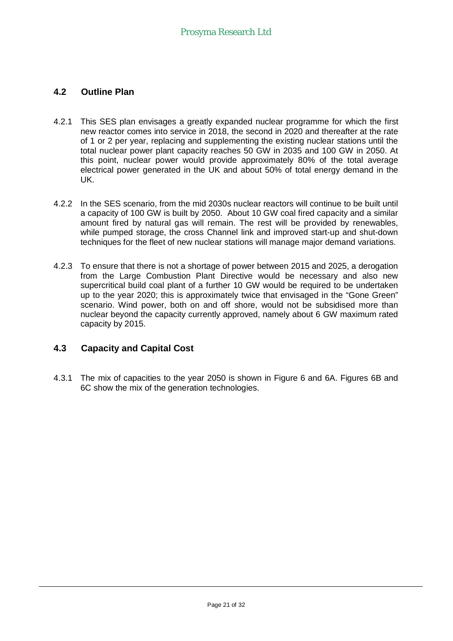#### **4.2 Outline Plan**

- 4.2.1 This SES plan envisages a greatly expanded nuclear programme for which the first new reactor comes into service in 2018, the second in 2020 and thereafter at the rate of 1 or 2 per year, replacing and supplementing the existing nuclear stations until the total nuclear power plant capacity reaches 50 GW in 2035 and 100 GW in 2050. At this point, nuclear power would provide approximately 80% of the total average electrical power generated in the UK and about 50% of total energy demand in the UK.
- 4.2.2 In the SES scenario, from the mid 2030s nuclear reactors will continue to be built until a capacity of 100 GW is built by 2050. About 10 GW coal fired capacity and a similar amount fired by natural gas will remain. The rest will be provided by renewables, while pumped storage, the cross Channel link and improved start-up and shut-down techniques for the fleet of new nuclear stations will manage major demand variations.
- 4.2.3 To ensure that there is not a shortage of power between 2015 and 2025, a derogation from the Large Combustion Plant Directive would be necessary and also new supercritical build coal plant of a further 10 GW would be required to be undertaken up to the year 2020; this is approximately twice that envisaged in the "Gone Green" scenario. Wind power, both on and off shore, would not be subsidised more than nuclear beyond the capacity currently approved, namely about 6 GW maximum rated capacity by 2015.

#### **4.3 Capacity and Capital Cost**

4.3.1 The mix of capacities to the year 2050 is shown in Figure 6 and 6A. Figures 6B and 6C show the mix of the generation technologies.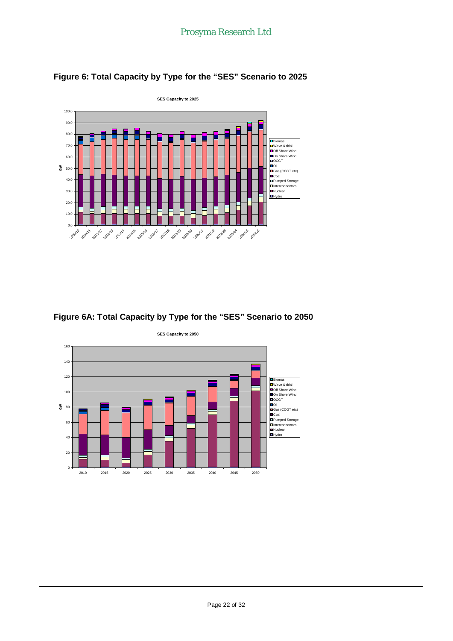



#### **Figure 6A: Total Capacity by Type for the "SES" Scenario to 2050**

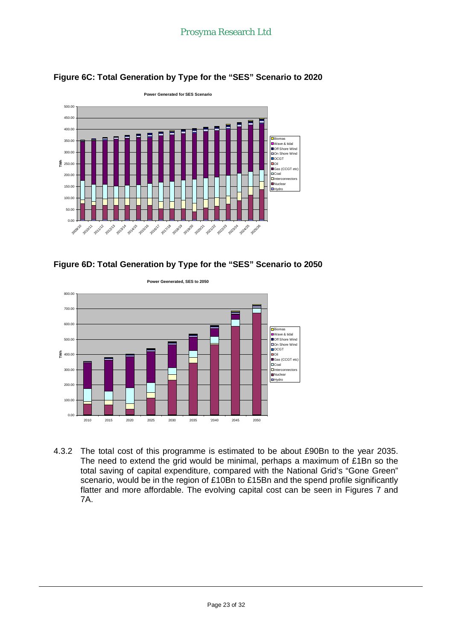

#### **Figure 6C: Total Generation by Type for the "SES" Scenario to 2020**





4.3.2 The total cost of this programme is estimated to be about £90Bn to the year 2035. The need to extend the grid would be minimal, perhaps a maximum of £1Bn so the total saving of capital expenditure, compared with the National Grid's "Gone Green" scenario, would be in the region of £10Bn to £15Bn and the spend profile significantly flatter and more affordable. The evolving capital cost can be seen in Figures 7 and 7A.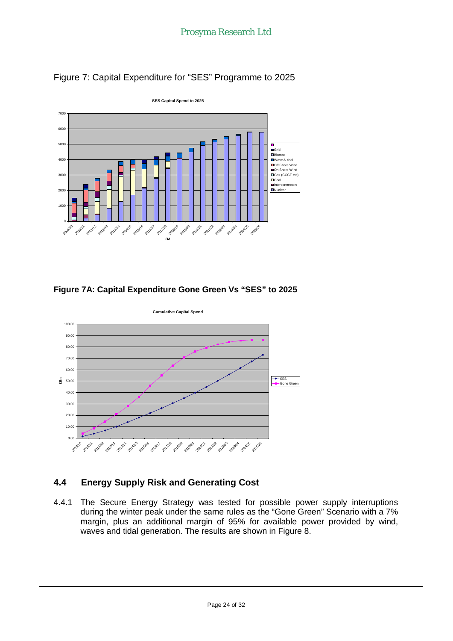

Figure 7: Capital Expenditure for "SES" Programme to 2025

### **Figure 7A: Capital Expenditure Gone Green Vs "SES" to 2025**



# **4.4 Energy Supply Risk and Generating Cost**

4.4.1 The Secure Energy Strategy was tested for possible power supply interruptions during the winter peak under the same rules as the "Gone Green" Scenario with a 7% margin, plus an additional margin of 95% for available power provided by wind, waves and tidal generation. The results are shown in Figure 8.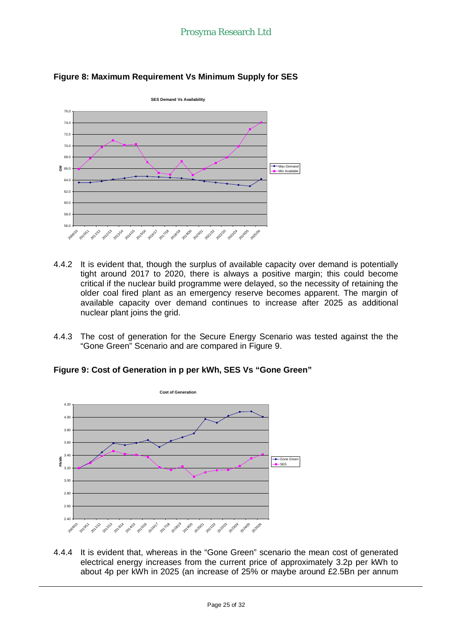

#### **Figure 8: Maximum Requirement Vs Minimum Supply for SES**

- 4.4.2 It is evident that, though the surplus of available capacity over demand is potentially tight around 2017 to 2020, there is always a positive margin; this could become critical if the nuclear build programme were delayed, so the necessity of retaining the older coal fired plant as an emergency reserve becomes apparent. The margin of available capacity over demand continues to increase after 2025 as additional nuclear plant joins the grid.
- 4.4.3 The cost of generation for the Secure Energy Scenario was tested against the the "Gone Green" Scenario and are compared in Figure 9.

**Figure 9: Cost of Generation in p per kWh, SES Vs "Gone Green"**



4.4.4 It is evident that, whereas in the "Gone Green" scenario the mean cost of generated electrical energy increases from the current price of approximately 3.2p per kWh to about 4p per kWh in 2025 (an increase of 25% or maybe around £2.5Bn per annum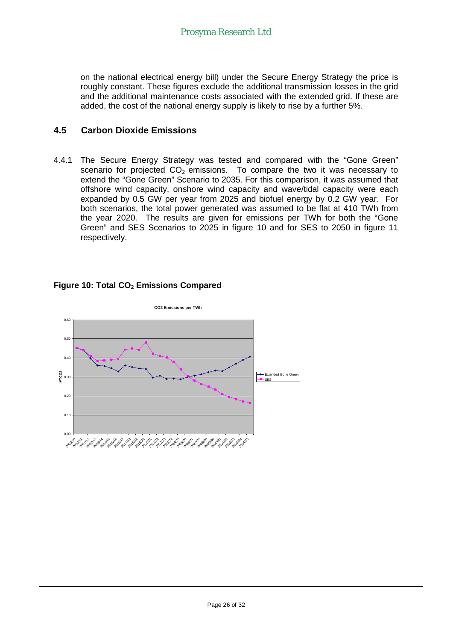on the national electrical energy bill) under the Secure Energy Strategy the price is roughly constant. These figures exclude the additional transmission losses in the grid and the additional maintenance costs associated with the extended grid. If these are added, the cost of the national energy supply is likely to rise by a further 5%.

#### **4.5 Carbon Dioxide Emissions**

4.4.1 The Secure Energy Strategy was tested and compared with the "Gone Green" scenario for projected  $CO<sub>2</sub>$  emissions. To compare the two it was necessary to extend the "Gone Green" Scenario to 2035. For this comparison, it was assumed that offshore wind capacity, onshore wind capacity and wave/tidal capacity were each expanded by 0.5 GW per year from 2025 and biofuel energy by 0.2 GW year. For both scenarios, the total power generated was assumed to be flat at 410 TWh from the year 2020. The results are given for emissions per TWh for both the "Gone Green" and SES Scenarios to 2025 in figure 10 and for SES to 2050 in figure 11 respectively.



#### **Figure 10: Total CO2 Emissions Compared**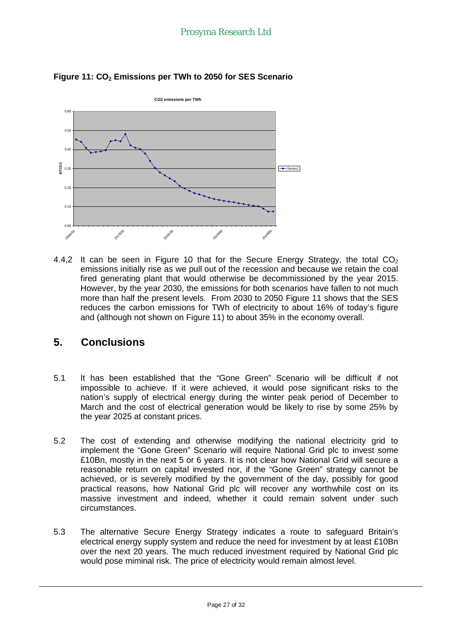

**Figure 11: CO2 Emissions per TWh to 2050 for SES Scenario**

4.4,2 It can be seen in Figure 10 that for the Secure Energy Strategy, the total  $CO<sub>2</sub>$ emissions initially rise as we pull out of the recession and because we retain the coal fired generating plant that would otherwise be decommissioned by the year 2015. However, by the year 2030, the emissions for both scenarios have fallen to not much more than half the present levels. From 2030 to 2050 Figure 11 shows that the SES reduces the carbon emissions for TWh of electricity to about 16% of today's figure and (although not shown on Figure 11) to about 35% in the economy overall.

# **5. Conclusions**

- 5.1 It has been established that the "Gone Green" Scenario will be difficult if not impossible to achieve. If it were achieved, it would pose significant risks to the nation's supply of electrical energy during the winter peak period of December to March and the cost of electrical generation would be likely to rise by some 25% by the year 2025 at constant prices.
- 5.2 The cost of extending and otherwise modifying the national electricity grid to implement the "Gone Green" Scenario will require National Grid plc to invest some £10Bn, mostly in the next 5 or 6 years. It is not clear how National Grid will secure a reasonable return on capital invested nor, if the "Gone Green" strategy cannot be achieved, or is severely modified by the government of the day, possibly for good practical reasons, how National Grid plc will recover any worthwhile cost on its massive investment and indeed, whether it could remain solvent under such circumstances.
- 5.3 The alternative Secure Energy Strategy indicates a route to safeguard Britain's electrical energy supply system and reduce the need for investment by at least £10Bn over the next 20 years. The much reduced investment required by National Grid plc would pose miminal risk. The price of electricity would remain almost level.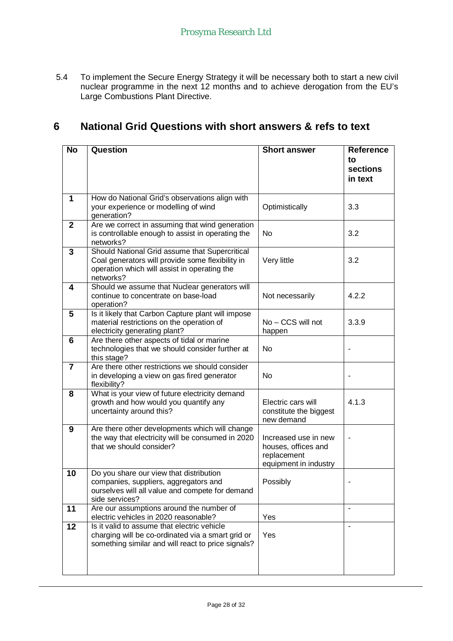5.4 To implement the Secure Energy Strategy it will be necessary both to start a new civil nuclear programme in the next 12 months and to achieve derogation from the EU's Large Combustions Plant Directive.

# **6 National Grid Questions with short answers & refs to text**

| <b>No</b>      | Question                                                                                                                                                        | <b>Short answer</b>                                                                 | <b>Reference</b><br>to<br>sections<br>in text |
|----------------|-----------------------------------------------------------------------------------------------------------------------------------------------------------------|-------------------------------------------------------------------------------------|-----------------------------------------------|
| 1              | How do National Grid's observations align with<br>your experience or modelling of wind<br>generation?                                                           | Optimistically                                                                      | 3.3                                           |
| $\mathbf{2}$   | Are we correct in assuming that wind generation<br>is controllable enough to assist in operating the<br>networks?                                               | <b>No</b>                                                                           | 3.2                                           |
| 3              | Should National Grid assume that Supercritical<br>Coal generators will provide some flexibility in<br>operation which will assist in operating the<br>networks? | Very little                                                                         | 3.2                                           |
| 4              | Should we assume that Nuclear generators will<br>continue to concentrate on base-load<br>operation?                                                             | Not necessarily                                                                     | 4.2.2                                         |
| 5              | Is it likely that Carbon Capture plant will impose<br>material restrictions on the operation of<br>electricity generating plant?                                | No - CCS will not<br>happen                                                         | 3.3.9                                         |
| 6              | Are there other aspects of tidal or marine<br>technologies that we should consider further at<br>this stage?                                                    | No                                                                                  |                                               |
| $\overline{7}$ | Are there other restrictions we should consider<br>in developing a view on gas fired generator<br>flexibility?                                                  | <b>No</b>                                                                           |                                               |
| 8              | What is your view of future electricity demand<br>growth and how would you quantify any<br>uncertainty around this?                                             | Electric cars will<br>constitute the biggest<br>new demand                          | 4.1.3                                         |
| 9              | Are there other developments which will change<br>the way that electricity will be consumed in 2020<br>that we should consider?                                 | Increased use in new<br>houses, offices and<br>replacement<br>equipment in industry |                                               |
| 10             | Do you share our view that distribution<br>companies, suppliers, aggregators and<br>ourselves will all value and compete for demand<br>side services?           | Possibly                                                                            |                                               |
| 11             | Are our assumptions around the number of<br>electric vehicles in 2020 reasonable?                                                                               | Yes                                                                                 |                                               |
| 12             | Is it valid to assume that electric vehicle<br>charging will be co-ordinated via a smart grid or<br>something similar and will react to price signals?          | Yes                                                                                 |                                               |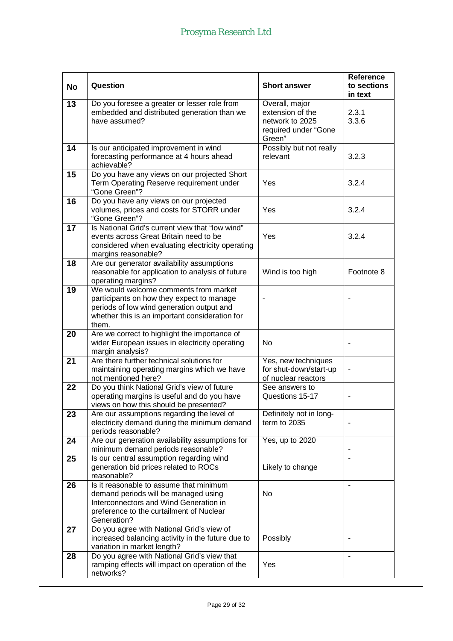| <b>No</b>       | Question                                                                                                                                                                                   | <b>Short answer</b>                                                                     | <b>Reference</b><br>to sections<br>in text |
|-----------------|--------------------------------------------------------------------------------------------------------------------------------------------------------------------------------------------|-----------------------------------------------------------------------------------------|--------------------------------------------|
| $\overline{13}$ | Do you foresee a greater or lesser role from<br>embedded and distributed generation than we<br>have assumed?                                                                               | Overall, major<br>extension of the<br>network to 2025<br>required under "Gone<br>Green" | 2.3.1<br>3.3.6                             |
| 14              | Is our anticipated improvement in wind<br>forecasting performance at 4 hours ahead<br>achievable?                                                                                          | Possibly but not really<br>relevant                                                     | 3.2.3                                      |
| 15              | Do you have any views on our projected Short<br>Term Operating Reserve requirement under<br>"Gone Green"?                                                                                  | Yes                                                                                     | 3.2.4                                      |
| 16              | Do you have any views on our projected<br>volumes, prices and costs for STORR under<br>"Gone Green"?                                                                                       | Yes                                                                                     | 3.2.4                                      |
| 17              | Is National Grid's current view that "low wind"<br>events across Great Britain need to be<br>considered when evaluating electricity operating<br>margins reasonable?                       | Yes                                                                                     | 3.2.4                                      |
| 18              | Are our generator availability assumptions<br>reasonable for application to analysis of future<br>operating margins?                                                                       | Wind is too high                                                                        | Footnote 8                                 |
| 19              | We would welcome comments from market<br>participants on how they expect to manage<br>periods of low wind generation output and<br>whether this is an important consideration for<br>them. |                                                                                         |                                            |
| 20              | Are we correct to highlight the importance of<br>wider European issues in electricity operating<br>margin analysis?                                                                        | No.                                                                                     |                                            |
| 21              | Are there further technical solutions for<br>maintaining operating margins which we have<br>not mentioned here?                                                                            | Yes, new techniques<br>for shut-down/start-up<br>of nuclear reactors                    |                                            |
| 22              | Do you think National Grid's view of future<br>operating margins is useful and do you have<br>views on how this should be presented?                                                       | See answers to<br>Questions 15-17                                                       |                                            |
| 23              | Are our assumptions regarding the level of<br>electricity demand during the minimum demand<br>periods reasonable?                                                                          | Definitely not in long-<br>term to 2035                                                 |                                            |
| 24              | Are our generation availability assumptions for<br>minimum demand periods reasonable?                                                                                                      | Yes, up to 2020                                                                         | ٠                                          |
| 25              | Is our central assumption regarding wind<br>generation bid prices related to ROCs<br>reasonable?                                                                                           | Likely to change                                                                        | $\overline{\phantom{a}}$                   |
| 26              | Is it reasonable to assume that minimum<br>demand periods will be managed using<br>Interconnectors and Wind Generation in<br>preference to the curtailment of Nuclear<br>Generation?       | No                                                                                      |                                            |
| 27              | Do you agree with National Grid's view of<br>increased balancing activity in the future due to<br>variation in market length?                                                              | Possibly                                                                                |                                            |
| 28              | Do you agree with National Grid's view that<br>ramping effects will impact on operation of the<br>networks?                                                                                | Yes                                                                                     |                                            |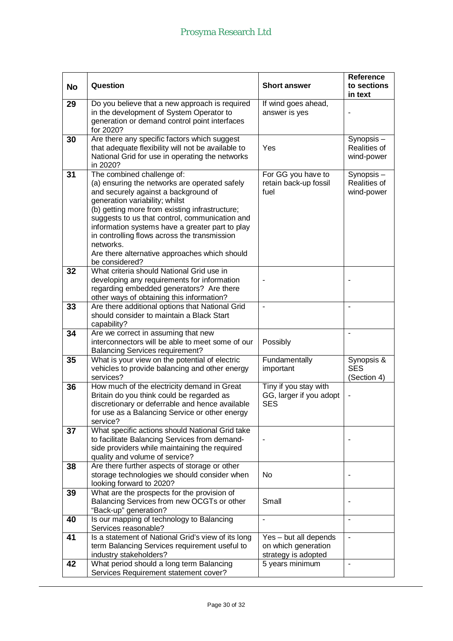| <b>No</b> | Question                                                                                                                                                                                                                                                                                                                                                                                                                                     | <b>Short answer</b>                                                 | <b>Reference</b><br>to sections<br>in text     |
|-----------|----------------------------------------------------------------------------------------------------------------------------------------------------------------------------------------------------------------------------------------------------------------------------------------------------------------------------------------------------------------------------------------------------------------------------------------------|---------------------------------------------------------------------|------------------------------------------------|
| 29        | Do you believe that a new approach is required<br>in the development of System Operator to<br>generation or demand control point interfaces<br>for 2020?                                                                                                                                                                                                                                                                                     | If wind goes ahead,<br>answer is yes                                |                                                |
| 30        | Are there any specific factors which suggest<br>that adequate flexibility will not be available to<br>National Grid for use in operating the networks<br>in 2020?                                                                                                                                                                                                                                                                            | Yes                                                                 | Synopsis-<br><b>Realities of</b><br>wind-power |
| 31        | The combined challenge of:<br>(a) ensuring the networks are operated safely<br>and securely against a background of<br>generation variability; whilst<br>(b) getting more from existing infrastructure;<br>suggests to us that control, communication and<br>information systems have a greater part to play<br>in controlling flows across the transmission<br>networks.<br>Are there alternative approaches which should<br>be considered? | For GG you have to<br>retain back-up fossil<br>fuel                 | Synopsis-<br><b>Realities of</b><br>wind-power |
| 32        | What criteria should National Grid use in<br>developing any requirements for information<br>regarding embedded generators? Are there<br>other ways of obtaining this information?                                                                                                                                                                                                                                                            |                                                                     |                                                |
| 33        | Are there additional options that National Grid<br>should consider to maintain a Black Start<br>capability?                                                                                                                                                                                                                                                                                                                                  |                                                                     |                                                |
| 34        | Are we correct in assuming that new<br>interconnectors will be able to meet some of our<br><b>Balancing Services requirement?</b>                                                                                                                                                                                                                                                                                                            | Possibly                                                            |                                                |
| 35        | What is your view on the potential of electric<br>vehicles to provide balancing and other energy<br>services?                                                                                                                                                                                                                                                                                                                                | Fundamentally<br>important                                          | Synopsis &<br><b>SES</b><br>(Section 4)        |
| 36        | How much of the electricity demand in Great<br>Britain do you think could be regarded as<br>discretionary or deferrable and hence available<br>for use as a Balancing Service or other energy<br>service?                                                                                                                                                                                                                                    | Tiny if you stay with<br>GG, larger if you adopt<br><b>SES</b>      |                                                |
| 37        | What specific actions should National Grid take<br>to facilitate Balancing Services from demand-<br>side providers while maintaining the required<br>quality and volume of service?                                                                                                                                                                                                                                                          |                                                                     |                                                |
| 38        | Are there further aspects of storage or other<br>storage technologies we should consider when<br>looking forward to 2020?                                                                                                                                                                                                                                                                                                                    | No                                                                  |                                                |
| 39        | What are the prospects for the provision of<br>Balancing Services from new OCGTs or other<br>"Back-up" generation?                                                                                                                                                                                                                                                                                                                           | Small                                                               |                                                |
| 40        | Is our mapping of technology to Balancing<br>Services reasonable?                                                                                                                                                                                                                                                                                                                                                                            |                                                                     |                                                |
| 41        | Is a statement of National Grid's view of its long<br>term Balancing Services requirement useful to<br>industry stakeholders?                                                                                                                                                                                                                                                                                                                | Yes - but all depends<br>on which generation<br>strategy is adopted | ä,                                             |
| 42        | What period should a long term Balancing<br>Services Requirement statement cover?                                                                                                                                                                                                                                                                                                                                                            | $\overline{5}$ years minimum                                        | ٠                                              |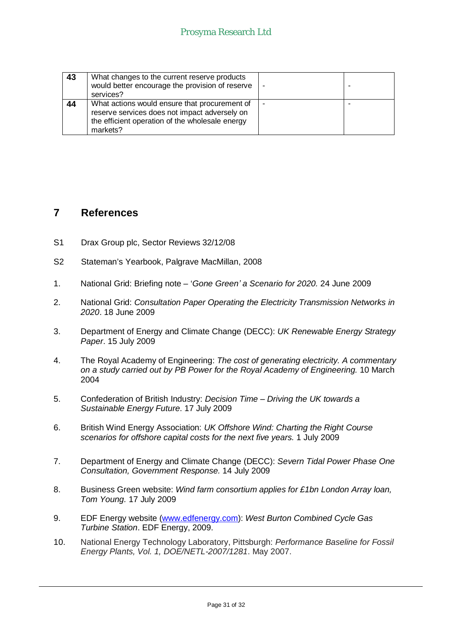| 43 | What changes to the current reserve products    |  |
|----|-------------------------------------------------|--|
|    | would better encourage the provision of reserve |  |
|    | services?                                       |  |
| 44 | What actions would ensure that procurement of   |  |
|    | reserve services does not impact adversely on   |  |
|    | the efficient operation of the wholesale energy |  |
|    | markets?                                        |  |

# **7 References**

- S1 Drax Group plc, Sector Reviews 32/12/08
- S2 Stateman's Yearbook, Palgrave MacMillan, 2008
- 1. National Grid: Briefing note '*Gone Green¶ a Scenario for 2020.* 24 June 2009
- 2. National Grid: *Consultation Paper Operating the Electricity Transmission Networks in 2020*. 18 June 2009
- 3. Department of Energy and Climate Change (DECC): *UK Renewable Energy Strategy Paper*. 15 July 2009
- 4. The Royal Academy of Engineering: *The cost of generating electricity. A commentary on a study carried out by PB Power for the Royal Academy of Engineering.* 10 March 2004
- 5. Confederation of British Industry: *Decision Time Driving the UK towards a Sustainable Energy Future*. 17 July 2009
- 6. British Wind Energy Association: *UK Offshore Wind: Charting the Right Course scenarios for offshore capital costs for the next five years.* 1 July 2009
- 7. Department of Energy and Climate Change (DECC): *Severn Tidal Power Phase One Consultation, Government Response.* 14 July 2009
- 8. Business Green website: *Wind farm consortium applies for £1bn London Array loan, Tom Young.* 17 July 2009
- 9. EDF Energy website [\(www.edfenergy.com\)](http://www.edfenergy.com): *West Burton Combined Cycle Gas Turbine Station*. EDF Energy, 2009.
- 10. National Energy Technology Laboratory, Pittsburgh: *Performance Baseline for Fossil Energy Plants, Vol. 1, DOE/NETL-2007/1281*. May 2007.